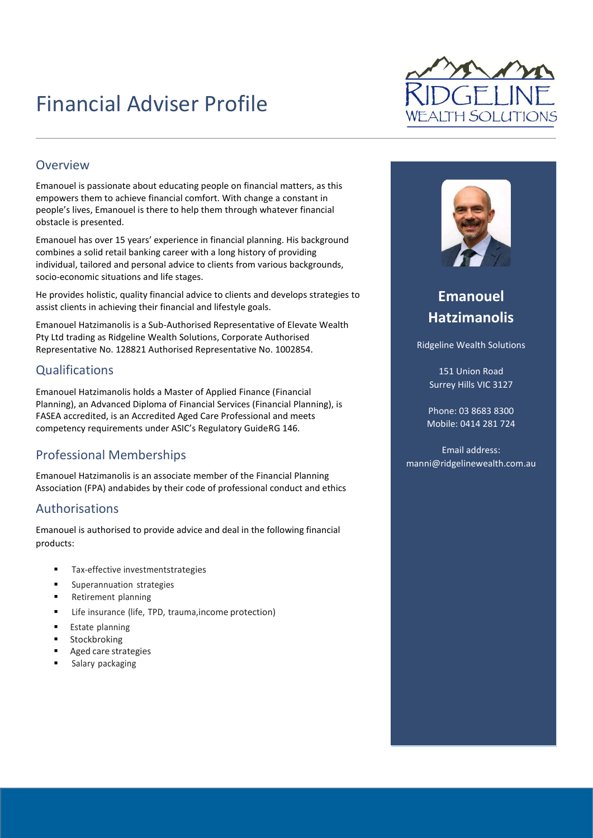# Financial Adviser Profile



#### **Overview**

Emanouel is passionate about educating people on financial matters, as this empowers them to achieve financial comfort. With change a constant in people's lives, Emanouel is there to help them through whatever financial obstacle is presented.

Emanouel has over 15 years' experience in financial planning. His background combines a solid retail banking career with a long history of providing individual, tailored and personal advice to clients from various backgrounds, socio-economic situations and life stages.

He provides holistic, quality financial advice to clients and develops strategies to assist clients in achieving their financial and lifestyle goals.

Emanouel Hatzimanolis is a Sub-Authorised Representative of Elevate Wealth Pty Ltd trading as Ridgeline Wealth Solutions, Corporate Authorised Representative No. 128821 Authorised Representative No. 1002854.

#### **Qualifications**

Emanouel Hatzimanolis holds a Master of Applied Finance (Financial Planning), an Advanced Diploma of Financial Services (Financial Planning), is FASEA accredited, is an Accredited Aged Care Professional and meets competency requirements under ASIC's Regulatory GuideRG 146.

### Professional Memberships

Emanouel Hatzimanolis is an associate member of the Financial Planning Association (FPA) and abides by their code of professional conduct and ethics

#### Authorisations

Emanouel is authorised to provide advice and deal in the following financial products:

- Tax-effective investmentstrategies
- Superannuation strategies
- Retirement planning
- Life insurance (life, TPD, trauma, income protection)
- Estate planning
- Stockbroking
- Aged care strategies
- Salary packaging



## **Emanouel Hatzimanolis**

Ridgeline Wealth Solutions

151 Union Road Surrey Hills VIC 3127

Phone: 03 8683 8300 Mobile: 0414 281 724

Email address: manni@ridgelinewealth.com.au